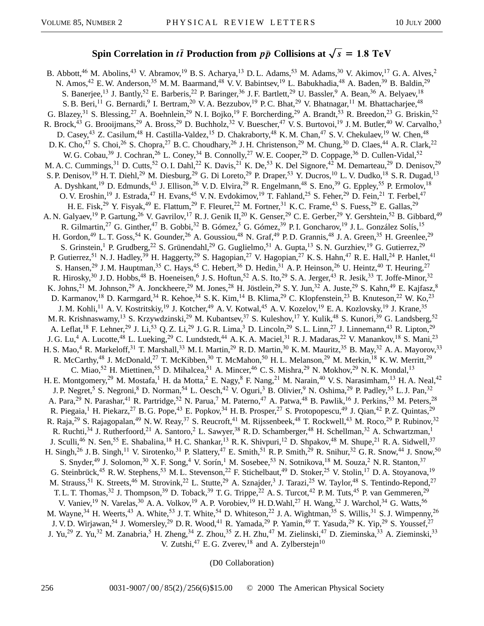## **Spin Correlation in** *tt* **Production from**  $p\bar{p}$  **Collisions at**  $\sqrt{s} = 1.8$  TeV

B. Abbott,<sup>46</sup> M. Abolins,<sup>43</sup> V. Abramov,<sup>19</sup> B. S. Acharya,<sup>13</sup> D. L. Adams,<sup>53</sup> M. Adams,<sup>30</sup> V. Akimov,<sup>17</sup> G. A. Alves,<sup>2</sup> N. Amos,<sup>42</sup> E.W. Anderson,<sup>35</sup> M.M. Baarmand,<sup>48</sup> V.V. Babintsev,<sup>19</sup> L. Babukhadia,<sup>48</sup> A. Baden,<sup>39</sup> B. Baldin,<sup>29</sup> S. Banerjee,<sup>13</sup> J. Bantly,<sup>52</sup> E. Barberis,<sup>22</sup> P. Baringer,<sup>36</sup> J. F. Bartlett,<sup>29</sup> U. Bassler,<sup>9</sup> A. Bean,<sup>36</sup> A. Belyaev,<sup>18</sup> S. B. Beri,<sup>11</sup> G. Bernardi,<sup>9</sup> I. Bertram,<sup>20</sup> V. A. Bezzubov,<sup>19</sup> P. C. Bhat,<sup>29</sup> V. Bhatnagar,<sup>11</sup> M. Bhattacharjee,<sup>48</sup> G. Blazey,<sup>31</sup> S. Blessing,<sup>27</sup> A. Boehnlein,<sup>29</sup> N. I. Bojko,<sup>19</sup> F. Borcherding,<sup>29</sup> A. Brandt,<sup>53</sup> R. Breedon,<sup>23</sup> G. Briskin,<sup>52</sup> R. Brock,<sup>43</sup> G. Brooijmans,<sup>29</sup> A. Bross,<sup>29</sup> D. Buchholz,<sup>32</sup> V. Buescher,<sup>47</sup> V. S. Burtovoi,<sup>19</sup> J. M. Butler,<sup>40</sup> W. Carvalho,<sup>3</sup> D. Casey,<sup>43</sup> Z. Casilum,<sup>48</sup> H. Castilla-Valdez,<sup>15</sup> D. Chakraborty,<sup>48</sup> K. M. Chan,<sup>47</sup> S. V. Chekulaev,<sup>19</sup> W. Chen,<sup>48</sup> D. K. Cho,<sup>47</sup> S. Choi,<sup>26</sup> S. Chopra,<sup>27</sup> B. C. Choudhary,<sup>26</sup> J. H. Christenson,<sup>29</sup> M. Chung,<sup>30</sup> D. Claes,<sup>44</sup> A. R. Clark,<sup>22</sup> W. G. Cobau,<sup>39</sup> J. Cochran,<sup>26</sup> L. Coney,<sup>34</sup> B. Connolly,<sup>27</sup> W. E. Cooper,<sup>29</sup> D. Coppage,<sup>36</sup> D. Cullen-Vidal,<sup>52</sup> M. A. C. Cummings,<sup>31</sup> D. Cutts,<sup>52</sup> O. I. Dahl,<sup>22</sup> K. Davis,<sup>21</sup> K. De,<sup>53</sup> K. Del Signore,<sup>42</sup> M. Demarteau,<sup>29</sup> D. Denisov,<sup>29</sup> S. P. Denisov,<sup>19</sup> H. T. Diehl,<sup>29</sup> M. Diesburg,<sup>29</sup> G. Di Loreto,<sup>29</sup> P. Draper,<sup>53</sup> Y. Ducros,<sup>10</sup> L. V. Dudko,<sup>18</sup> S. R. Dugad,<sup>13</sup> A. Dyshkant,<sup>19</sup> D. Edmunds,<sup>43</sup> J. Ellison,<sup>26</sup> V. D. Elvira,<sup>29</sup> R. Engelmann,<sup>48</sup> S. Eno,<sup>39</sup> G. Eppley,<sup>55</sup> P. Ermolov,<sup>18</sup> O. V. Eroshin,<sup>19</sup> J. Estrada,<sup>47</sup> H. Evans,<sup>45</sup> V. N. Evdokimov,<sup>19</sup> T. Fahland,<sup>25</sup> S. Feher,<sup>29</sup> D. Fein,<sup>21</sup> T. Ferbel,<sup>47</sup> H. E. Fisk,<sup>29</sup> Y. Fisyak,<sup>49</sup> E. Flattum,<sup>29</sup> F. Fleuret,<sup>22</sup> M. Fortner,<sup>31</sup> K. C. Frame,<sup>43</sup> S. Fuess,<sup>29</sup> E. Gallas,<sup>29</sup> A. N. Galyaev,<sup>19</sup> P. Gartung,<sup>26</sup> V. Gavrilov,<sup>17</sup> R. J. Genik II,<sup>20</sup> K. Genser,<sup>29</sup> C. E. Gerber,<sup>29</sup> Y. Gershtein,<sup>52</sup> B. Gibbard,<sup>49</sup> R. Gilmartin,<sup>27</sup> G. Ginther,<sup>47</sup> B. Gobbi,<sup>32</sup> B. Gómez,<sup>5</sup> G. Gómez,<sup>39</sup> P.I. Goncharov,<sup>19</sup> J.L. González Solís,<sup>15</sup> H. Gordon,<sup>49</sup> L. T. Goss,<sup>54</sup> K. Gounder,<sup>26</sup> A. Goussiou,<sup>48</sup> N. Graf,<sup>49</sup> P. D. Grannis,<sup>48</sup> J. A. Green,<sup>35</sup> H. Greenlee,<sup>29</sup> S. Grinstein,<sup>1</sup> P. Grudberg,<sup>22</sup> S. Grünendahl,<sup>29</sup> G. Guglielmo,<sup>51</sup> A. Gupta,<sup>13</sup> S. N. Gurzhiev,<sup>19</sup> G. Gutierrez,<sup>29</sup> P. Gutierrez,<sup>51</sup> N. J. Hadley,<sup>39</sup> H. Haggerty,<sup>29</sup> S. Hagopian,<sup>27</sup> V. Hagopian,<sup>27</sup> K. S. Hahn,<sup>47</sup> R. E. Hall,<sup>24</sup> P. Hanlet,<sup>41</sup> S. Hansen,<sup>29</sup> J. M. Hauptman,<sup>35</sup> C. Hays,<sup>45</sup> C. Hebert,<sup>36</sup> D. Hedin,<sup>31</sup> A. P. Heinson,<sup>26</sup> U. Heintz,<sup>40</sup> T. Heuring,<sup>27</sup> R. Hirosky,<sup>30</sup> J. D. Hobbs,<sup>48</sup> B. Hoeneisen,<sup>6</sup> J. S. Hoftun,<sup>52</sup> A. S. Ito,<sup>29</sup> S. A. Jerger,<sup>43</sup> R. Jesik,<sup>33</sup> T. Joffe-Minor,<sup>32</sup> K. Johns,<sup>21</sup> M. Johnson,<sup>29</sup> A. Jonckheere,<sup>29</sup> M. Jones,<sup>28</sup> H. Jöstlein,<sup>29</sup> S. Y. Jun,<sup>32</sup> A. Juste,<sup>29</sup> S. Kahn,<sup>49</sup> E. Kajfasz,<sup>8</sup> D. Karmanov,<sup>18</sup> D. Karmgard,<sup>34</sup> R. Kehoe,<sup>34</sup> S. K. Kim,<sup>14</sup> B. Klima,<sup>29</sup> C. Klopfenstein,<sup>23</sup> B. Knuteson,<sup>22</sup> W. Ko,<sup>23</sup> J. M. Kohli,<sup>11</sup> A. V. Kostritskiy,<sup>19</sup> J. Kotcher,<sup>49</sup> A. V. Kotwal,<sup>45</sup> A. V. Kozelov,<sup>19</sup> E. A. Kozlovsky,<sup>19</sup> J. Krane,<sup>35</sup> M. R. Krishnaswamy,<sup>13</sup> S. Krzywdzinski,<sup>29</sup> M. Kubantsev,<sup>37</sup> S. Kuleshov,<sup>17</sup> Y. Kulik,<sup>48</sup> S. Kunori,<sup>39</sup> G. Landsberg,<sup>52</sup> A. Leflat,<sup>18</sup> F. Lehner,<sup>29</sup> J. Li,<sup>53</sup> Q. Z. Li,<sup>29</sup> J. G. R. Lima,<sup>3</sup> D. Lincoln,<sup>29</sup> S. L. Linn,<sup>27</sup> J. Linnemann,<sup>43</sup> R. Lipton,<sup>29</sup> J. G. Lu,<sup>4</sup> A. Lucotte,<sup>48</sup> L. Lueking,<sup>29</sup> C. Lundstedt,<sup>44</sup> A. K. A. Maciel,<sup>31</sup> R. J. Madaras,<sup>22</sup> V. Manankov,<sup>18</sup> S. Mani,<sup>23</sup> H. S. Mao,<sup>4</sup> R. Markeloff,<sup>31</sup> T. Marshall,<sup>33</sup> M. I. Martin,<sup>29</sup> R. D. Martin,<sup>30</sup> K. M. Mauritz,<sup>35</sup> B. May,<sup>32</sup> A. A. Mayorov,<sup>33</sup> R. McCarthy,<sup>48</sup> J. McDonald,<sup>27</sup> T. McKibben,<sup>30</sup> T. McMahon,<sup>50</sup> H. L. Melanson,<sup>29</sup> M. Merkin,<sup>18</sup> K. W. Merritt,<sup>29</sup> C. Miao,<sup>52</sup> H. Miettinen,<sup>55</sup> D. Mihalcea,<sup>51</sup> A. Mincer,<sup>46</sup> C. S. Mishra,<sup>29</sup> N. Mokhov,<sup>29</sup> N. K. Mondal,<sup>13</sup> H. E. Montgomery,<sup>29</sup> M. Mostafa,<sup>1</sup> H. da Motta,<sup>2</sup> E. Nagy,<sup>8</sup> F. Nang,<sup>21</sup> M. Narain,<sup>40</sup> V. S. Narasimham,<sup>13</sup> H. A. Neal,<sup>42</sup> J. P. Negret,<sup>5</sup> S. Negroni,<sup>8</sup> D. Norman,<sup>54</sup> L. Oesch,<sup>42</sup> V. Oguri,<sup>3</sup> B. Olivier,<sup>9</sup> N. Oshima,<sup>29</sup> P. Padley,<sup>55</sup> L. J. Pan,<sup>32</sup> A. Para,<sup>29</sup> N. Parashar,<sup>41</sup> R. Partridge,<sup>52</sup> N. Parua,<sup>7</sup> M. Paterno,<sup>47</sup> A. Patwa,<sup>48</sup> B. Pawlik,<sup>16</sup> J. Perkins,<sup>53</sup> M. Peters,<sup>28</sup> R. Piegaia,<sup>1</sup> H. Piekarz,<sup>27</sup> B. G. Pope,<sup>43</sup> E. Popkov,<sup>34</sup> H. B. Prosper,<sup>27</sup> S. Protopopescu,<sup>49</sup> J. Qian,<sup>42</sup> P. Z. Quintas,<sup>29</sup> R. Raja,<sup>29</sup> S. Rajagopalan,<sup>49</sup> N. W. Reay,<sup>37</sup> S. Reucroft,<sup>41</sup> M. Rijssenbeek,<sup>48</sup> T. Rockwell,<sup>43</sup> M. Roco,<sup>29</sup> P. Rubinov,<sup>32</sup> R. Ruchti,<sup>34</sup> J. Rutherfoord,<sup>21</sup> A. Santoro,<sup>2</sup> L. Sawyer,<sup>38</sup> R. D. Schamberger,<sup>48</sup> H. Schellman,<sup>32</sup> A. Schwartzman,<sup>1</sup> J. Sculli,<sup>46</sup> N. Sen,<sup>55</sup> E. Shabalina,<sup>18</sup> H.C. Shankar,<sup>13</sup> R.K. Shivpuri,<sup>12</sup> D. Shpakov,<sup>48</sup> M. Shupe,<sup>21</sup> R.A. Sidwell,<sup>37</sup> H. Singh,<sup>26</sup> J. B. Singh,<sup>11</sup> V. Sirotenko,<sup>31</sup> P. Slattery,<sup>47</sup> E. Smith,<sup>51</sup> R. P. Smith,<sup>29</sup> R. Snihur,<sup>32</sup> G. R. Snow,<sup>44</sup> J. Snow,<sup>50</sup> S. Snyder,<sup>49</sup> J. Solomon,<sup>30</sup> X. F. Song,<sup>4</sup> V. Sorín,<sup>1</sup> M. Sosebee,<sup>53</sup> N. Sotnikova,<sup>18</sup> M. Souza,<sup>2</sup> N. R. Stanton,<sup>37</sup> G. Steinbrück,<sup>45</sup> R. W. Stephens,<sup>53</sup> M. L. Stevenson,<sup>22</sup> F. Stichelbaut,<sup>49</sup> D. Stoker,<sup>25</sup> V. Stolin,<sup>17</sup> D. A. Stoyanova,<sup>19</sup> M. Strauss,<sup>51</sup> K. Streets,<sup>46</sup> M. Strovink,<sup>22</sup> L. Stutte,<sup>29</sup> A. Sznajder,<sup>3</sup> J. Tarazi,<sup>25</sup> W. Taylor,<sup>48</sup> S. Tentindo-Repond,<sup>27</sup> T. L. T. Thomas,<sup>32</sup> J. Thompson,<sup>39</sup> D. Toback,<sup>39</sup> T. G. Trippe,<sup>22</sup> A. S. Turcot,<sup>42</sup> P. M. Tuts,<sup>45</sup> P. van Gemmeren,<sup>29</sup> V. Vaniev,<sup>19</sup> N. Varelas,<sup>30</sup> A. A. Volkov,<sup>19</sup> A. P. Vorobiev,<sup>19</sup> H. D. Wahl,<sup>27</sup> H. Wang,<sup>32</sup> J. Warchol,<sup>34</sup> G. Watts,<sup>56</sup> M. Wayne,<sup>34</sup> H. Weerts,<sup>43</sup> A. White,<sup>53</sup> J. T. White,<sup>54</sup> D. Whiteson,<sup>22</sup> J. A. Wightman,<sup>35</sup> S. Willis,<sup>31</sup> S. J. Wimpenny,<sup>26</sup> J. V. D. Wirjawan,<sup>54</sup> J. Womersley,<sup>29</sup> D. R. Wood,<sup>41</sup> R. Yamada,<sup>29</sup> P. Yamin,<sup>49</sup> T. Yasuda,<sup>29</sup> K. Yip,<sup>29</sup> S. Youssef,<sup>27</sup> J. Yu,<sup>29</sup> Z. Yu,<sup>32</sup> M. Zanabria,<sup>5</sup> H. Zheng,<sup>34</sup> Z. Zhou,<sup>35</sup> Z. H. Zhu,<sup>47</sup> M. Zielinski,<sup>47</sup> D. Zieminska,<sup>33</sup> A. Zieminski,<sup>33</sup> V. Zutshi, $47$  E. G. Zverev,  $18$  and A. Zylberstejn $10$ 

(D0 Collaboration)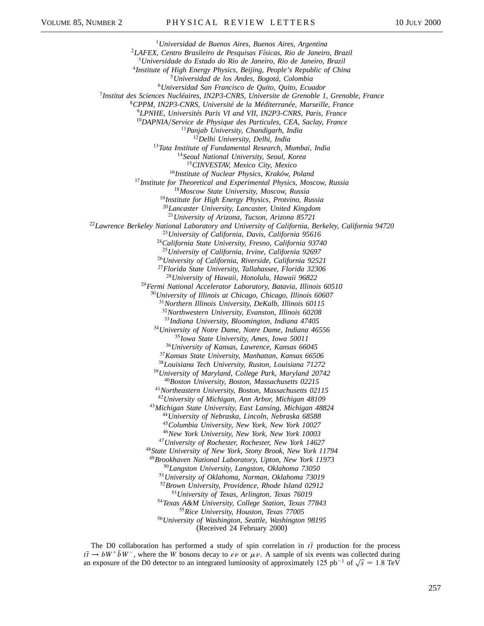*Universidad de Buenos Aires, Buenos Aires, Argentina LAFEX, Centro Brasileiro de Pesquisas Físicas, Rio de Janeiro, Brazil Universidade do Estado do Rio de Janeiro, Rio de Janeiro, Brazil Institute of High Energy Physics, Beijing, People's Republic of China Universidad de los Andes, Bogotá, Colombia Universidad San Francisco de Quito, Quito, Ecuador Institut des Sciences Nucléaires, IN2P3-CNRS, Universite de Grenoble 1, Grenoble, France CPPM, IN2P3-CNRS, Université de la Méditerranée, Marseille, France LPNHE, Universités Paris VI and VII, IN2P3-CNRS, Paris, France DAPNIAService de Physique des Particules, CEA, Saclay, France Panjab University, Chandigarh, India Delhi University, Delhi, India Tata Institute of Fundamental Research, Mumbai, India Seoul National University, Seoul, Korea CINVESTAV, Mexico City, Mexico Institute of Nuclear Physics, Kraków, Poland Institute for Theoretical and Experimental Physics, Moscow, Russia Moscow State University, Moscow, Russia Institute for High Energy Physics, Protvino, Russia Lancaster University, Lancaster, United Kingdom University of Arizona, Tucson, Arizona 85721 Lawrence Berkeley National Laboratory and University of California, Berkeley, California 94720 University of California, Davis, California 95616 California State University, Fresno, California 93740 University of California, Irvine, California 92697 University of California, Riverside, California 92521 Florida State University, Tallahassee, Florida 32306 University of Hawaii, Honolulu, Hawaii 96822 Fermi National Accelerator Laboratory, Batavia, Illinois 60510 University of Illinois at Chicago, Chicago, Illinois 60607 Northern Illinois University, DeKalb, Illinois 60115 Northwestern University, Evanston, Illinois 60208 Indiana University, Bloomington, Indiana 47405 University of Notre Dame, Notre Dame, Indiana 46556 Iowa State University, Ames, Iowa 50011 University of Kansas, Lawrence, Kansas 66045 Kansas State University, Manhattan, Kansas 66506 Louisiana Tech University, Ruston, Louisiana 71272 University of Maryland, College Park, Maryland 20742 Boston University, Boston, Massachusetts 02215 Northeastern University, Boston, Massachusetts 02115 University of Michigan, Ann Arbor, Michigan 48109 Michigan State University, East Lansing, Michigan 48824 University of Nebraska, Lincoln, Nebraska 68588 Columbia University, New York, New York 10027 New York University, New York, New York 10003 University of Rochester, Rochester, New York 14627 State University of New York, Stony Brook, New York 11794 Brookhaven National Laboratory, Upton, New York 11973 Langston University, Langston, Oklahoma 73050 University of Oklahoma, Norman, Oklahoma 73019 Brown University, Providence, Rhode Island 02912 University of Texas, Arlington, Texas 76019 Texas A&M University, College Station, Texas 77843 Rice University, Houston, Texas 77005 University of Washington, Seattle, Washington 98195* (Received 24 February 2000)

The D0 collaboration has performed a study of spin correlation in  $t\bar{t}$  production for the process  $t\bar{t} \to bW^+ \bar{b}W^-$ , where the *W* bosons decay to *ev* or  $\mu \nu$ . A sample of six events was collected during an exposure of the D0 detector to an integrated luminosity of approximately 125 pb<sup>-1</sup> of  $\sqrt{s}$  = 1.8 TeV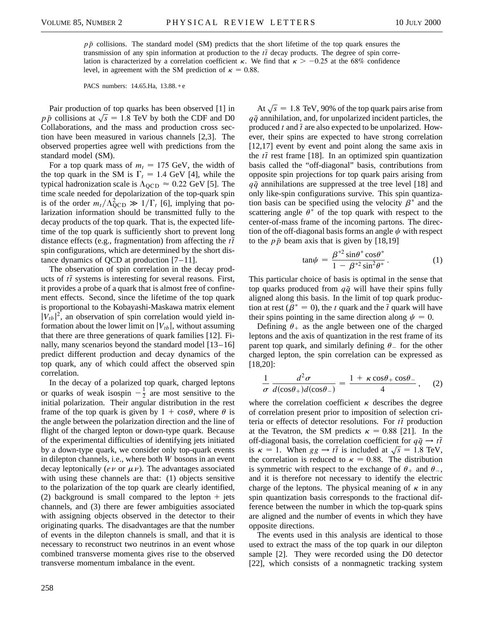$p\bar{p}$  collisions. The standard model (SM) predicts that the short lifetime of the top quark ensures the transmission of any spin information at production to the  $t\bar{t}$  decay products. The degree of spin correlation is characterized by a correlation coefficient  $\kappa$ . We find that  $\kappa > -0.25$  at the 68% confidence level, in agreement with the SM prediction of  $\kappa = 0.88$ .

PACS numbers: 14.65.Ha, 13.88.+e

Pair production of top quarks has been observed [1] in  $p\bar{p}$  collisions at  $\sqrt{s}$  = 1.8 TeV by both the CDF and D0 Collaborations, and the mass and production cross section have been measured in various channels [2,3]. The observed properties agree well with predictions from the standard model (SM).

For a top quark mass of  $m_t = 175$  GeV, the width of the top quark in the SM is  $\Gamma_t = 1.4$  GeV [4], while the typical hadronization scale is  $\Lambda_{\text{QCD}} \approx 0.22 \text{ GeV}$  [5]. The time scale needed for depolarization of the top-quark spin is of the order  $m_t/\Lambda_{\text{QCD}}^2 \gg 1/\Gamma_t$  [6], implying that polarization information should be transmitted fully to the decay products of the top quark. That is, the expected lifetime of the top quark is sufficiently short to prevent long distance effects (e.g., fragmentation) from affecting the  $t\bar{t}$ spin configurations, which are determined by the short distance dynamics of QCD at production [7–11].

The observation of spin correlation in the decay products of  $t\bar{t}$  systems is interesting for several reasons. First, it provides a probe of a quark that is almost free of confinement effects. Second, since the lifetime of the top quark is proportional to the Kobayashi-Maskawa matrix element  $|V_{tb}|^2$ , an observation of spin correlation would yield information about the lower limit on  $|V_{tb}|$ , without assuming that there are three generations of quark families [12]. Finally, many scenarios beyond the standard model [13–16] predict different production and decay dynamics of the top quark, any of which could affect the observed spin correlation.

In the decay of a polarized top quark, charged leptons or quarks of weak isospin  $-\frac{1}{2}$  are most sensitive to the initial polarization. Their angular distribution in the rest frame of the top quark is given by  $1 + \cos\theta$ , where  $\theta$  is the angle between the polarization direction and the line of flight of the charged lepton or down-type quark. Because of the experimental difficulties of identifying jets initiated by a down-type quark, we consider only top-quark events in dilepton channels, i.e., where both *W* bosons in an event decay leptonically ( $e\nu$  or  $\mu\nu$ ). The advantages associated with using these channels are that: (1) objects sensitive to the polarization of the top quark are clearly identified, (2) background is small compared to the lepton  $+$  jets channels, and (3) there are fewer ambiguities associated with assigning objects observed in the detector to their originating quarks. The disadvantages are that the number of events in the dilepton channels is small, and that it is necessary to reconstruct two neutrinos in an event whose combined transverse momenta gives rise to the observed transverse momentum imbalance in the event.

At  $\sqrt{s}$  = 1.8 TeV, 90% of the top quark pairs arise from  $q\bar{q}$  annihilation, and, for unpolarized incident particles, the produced  $t$  and  $\bar{t}$  are also expected to be unpolarized. However, their spins are expected to have strong correlation [12,17] event by event and point along the same axis in the  $t\bar{t}$  rest frame [18]. In an optimized spin quantization basis called the "off-diagonal" basis, contributions from opposite spin projections for top quark pairs arising from  $q\bar{q}$  annihilations are suppressed at the tree level [18] and only like-spin configurations survive. This spin quantization basis can be specified using the velocity  $\beta^*$  and the scattering angle  $\theta^*$  of the top quark with respect to the center-of-mass frame of the incoming partons. The direction of the off-diagonal basis forms an angle  $\psi$  with respect to the  $p\bar{p}$  beam axis that is given by [18,19]

$$
\tan \psi = \frac{\beta^{*2} \sin \theta^* \cos \theta^*}{1 - \beta^{*2} \sin^2 \theta^*}.
$$
 (1)

This particular choice of basis is optimal in the sense that top quarks produced from  $q\bar{q}$  will have their spins fully aligned along this basis. In the limit of top quark production at rest ( $\beta^* = 0$ ), the *t* quark and the  $\bar{t}$  quark will have their spins pointing in the same direction along  $\psi = 0$ .

Defining  $\theta_+$  as the angle between one of the charged leptons and the axis of quantization in the rest frame of its parent top quark, and similarly defining  $\theta$  for the other charged lepton, the spin correlation can be expressed as [18,20]:

$$
\frac{1}{\sigma} \frac{d^2 \sigma}{d(\cos \theta_+) d(\cos \theta_-)} = \frac{1 + \kappa \cos \theta_+ \cos \theta_-}{4}, \quad (2)
$$

where the correlation coefficient  $\kappa$  describes the degree of correlation present prior to imposition of selection criteria or effects of detector resolutions. For  $t\bar{t}$  production at the Tevatron, the SM predicts  $\kappa = 0.88$  [21]. In the off-diagonal basis, the correlation coefficient for  $q\bar{q} \rightarrow t\bar{t}$ on-anagonal basis, the correlation coefficient for  $qq \rightarrow tr$ <br>is  $\kappa = 1$ . When  $gg \rightarrow t\bar{t}$  is included at  $\sqrt{s} = 1.8$  TeV, the correlation is reduced to  $\kappa = 0.88$ . The distribution is symmetric with respect to the exchange of  $\theta_+$  and  $\theta_-,$ and it is therefore not necessary to identify the electric charge of the leptons. The physical meaning of  $\kappa$  in any spin quantization basis corresponds to the fractional difference between the number in which the top-quark spins are aligned and the number of events in which they have opposite directions.

The events used in this analysis are identical to those used to extract the mass of the top quark in our dilepton sample [2]. They were recorded using the D0 detector [22], which consists of a nonmagnetic tracking system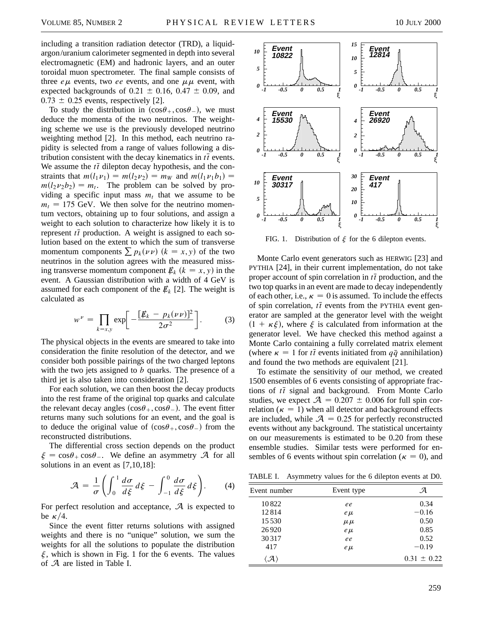including a transition radiation detector (TRD), a liquidargon/uranium calorimeter segmented in depth into several electromagnetic (EM) and hadronic layers, and an outer toroidal muon spectrometer. The final sample consists of three  $e\mu$  events, two *ee* events, and one  $\mu\mu$  event, with expected backgrounds of  $0.21 \pm 0.16$ ,  $0.47 \pm 0.09$ , and  $0.73 \pm 0.25$  events, respectively [2].

To study the distribution in  $(cos\theta_+, cos\theta_+)$ , we must deduce the momenta of the two neutrinos. The weighting scheme we use is the previously developed neutrino weighting method [2]. In this method, each neutrino rapidity is selected from a range of values following a distribution consistent with the decay kinematics in  $t\bar{t}$  events. We assume the  $t\bar{t}$  dilepton decay hypothesis, and the constraints that  $m(l_1\nu_1) = m(l_2\nu_2) = m_W$  and  $m(l_1\nu_1b_1) =$  $m(l_2\nu_2b_2) = m_t$ . The problem can be solved by providing a specific input mass  $m_t$  that we assume to be  $m_t = 175$  GeV. We then solve for the neutrino momentum vectors, obtaining up to four solutions, and assign a weight to each solution to characterize how likely it is to represent  $t\bar{t}$  production. A weight is assigned to each solution based on the extent to which the sum of transverse momentum components  $\sum p_k(\nu \nu)$   $(k = x, y)$  of the two neutrinos in the solution agrees with the measured missing transverse momentum component  $\mathbf{E}_k$  ( $k = x, y$ ) in the event. A Gaussian distribution with a width of 4 GeV is assumed for each component of the  $E_k$  [2]. The weight is calculated as

$$
w^{\nu} = \prod_{k=x,y} \exp \biggl[ -\frac{[\not{E}_k - p_k(\nu \nu)]^2}{2\sigma^2} \biggr].
$$
 (3)

The physical objects in the events are smeared to take into consideration the finite resolution of the detector, and we consider both possible pairings of the two charged leptons with the two jets assigned to *b* quarks. The presence of a third jet is also taken into consideration [2].

For each solution, we can then boost the decay products into the rest frame of the original top quarks and calculate the relevant decay angles  $(cos\theta_+, cos\theta_-)$ . The event fitter returns many such solutions for an event, and the goal is to deduce the original value of  $(cos\theta_+, cos\theta_-)$  from the reconstructed distributions.

The differential cross section depends on the product  $\xi = \cos\theta_+ \cos\theta_-.$  We define an asymmetry A for all solutions in an event as [7,10,18]:

$$
\mathcal{A} = \frac{1}{\sigma} \left( \int_0^1 \frac{d\sigma}{d\xi} d\xi - \int_{-1}^0 \frac{d\sigma}{d\xi} d\xi \right). \tag{4}
$$

For perfect resolution and acceptance,  $\mathcal A$  is expected to be  $\kappa/4$ .

Since the event fitter returns solutions with assigned weights and there is no "unique" solution, we sum the weights for all the solutions to populate the distribution  $\xi$ , which is shown in Fig. 1 for the 6 events. The values of A are listed in Table I.



FIG. 1. Distribution of  $\xi$  for the 6 dilepton events.

Monte Carlo event generators such as HERWIG [23] and PYTHIA [24], in their current implementation, do not take proper account of spin correlation in  $t\bar{t}$  production, and the two top quarks in an event are made to decay independently of each other, i.e.,  $\kappa = 0$  is assumed. To include the effects of spin correlation,  $t\bar{t}$  events from the PYTHIA event generator are sampled at the generator level with the weight  $(1 + \kappa \xi)$ , where  $\xi$  is calculated from information at the generator level. We have checked this method against a Monte Carlo containing a fully correlated matrix element (where  $\kappa = 1$  for  $t\bar{t}$  events initiated from  $q\bar{q}$  annihilation) and found the two methods are equivalent [21].

To estimate the sensitivity of our method, we created 1500 ensembles of 6 events consisting of appropriate fractions of  $t\bar{t}$  signal and background. From Monte Carlo studies, we expect  $\mathcal{A} = 0.207 \pm 0.006$  for full spin correlation ( $\kappa = 1$ ) when all detector and background effects are included, while  $\mathcal{A} = 0.25$  for perfectly reconstructed events without any background. The statistical uncertainty on our measurements is estimated to be 0.20 from these ensemble studies. Similar tests were performed for ensembles of 6 events without spin correlation ( $\kappa = 0$ ), and

TABLE I. Asymmetry values for the 6 dilepton events at D0.

| Event number | Event type | А               |
|--------------|------------|-----------------|
| 10822        | ee         | 0.34            |
| 12814        | $e\mu$     | $-0.16$         |
| 15 5 3 0     | $\mu \mu$  | 0.50            |
| 26920        | $e\mu$     | 0.85            |
| 30 31 7      | ee         | 0.52            |
| 417          | $e\mu$     | $-0.19$         |
|              |            | $0.31 \pm 0.22$ |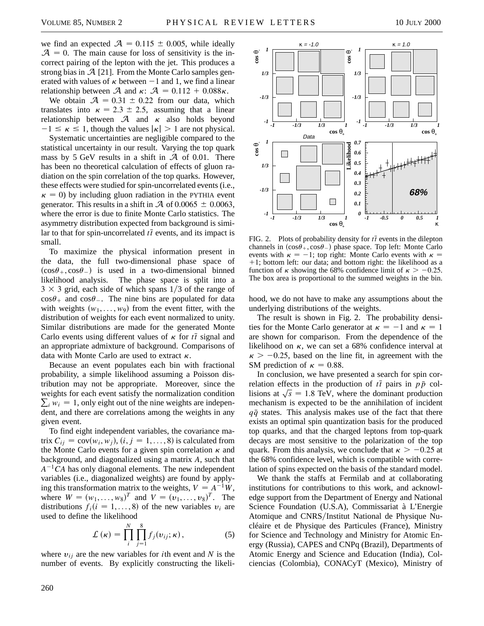we find an expected  $A = 0.115 \pm 0.005$ , while ideally  $A = 0$ . The main cause for loss of sensitivity is the incorrect pairing of the lepton with the jet. This produces a strong bias in  $\mathcal{A}$  [21]. From the Monte Carlo samples generated with values of  $\kappa$  between  $-1$  and 1, we find a linear relationship between  $\mathcal A$  and  $\kappa$ :  $\mathcal A = 0.112 + 0.088\kappa$ .

We obtain  $A = 0.31 \pm 0.22$  from our data, which translates into  $\kappa = 2.3 \pm 2.5$ , assuming that a linear relationship between  $A$  and  $\kappa$  also holds beyond  $-1 \le \kappa \le 1$ , though the values  $|\kappa| > 1$  are not physical.

Systematic uncertainties are negligible compared to the statistical uncertainty in our result. Varying the top quark mass by 5 GeV results in a shift in  $A$  of 0.01. There has been no theoretical calculation of effects of gluon radiation on the spin correlation of the top quarks. However, these effects were studied for spin-uncorrelated events (i.e.,  $\kappa = 0$ ) by including gluon radiation in the PYTHIA event generator. This results in a shift in  $\mathcal A$  of 0.0065  $\pm$  0.0063, where the error is due to finite Monte Carlo statistics. The asymmetry distribution expected from background is similar to that for spin-uncorrelated  $t\bar{t}$  events, and its impact is small.

To maximize the physical information present in the data, the full two-dimensional phase space of  $(cos \theta_+, cos \theta_-)$  is used in a two-dimensional binned likelihood analysis. The phase space is split into a  $3 \times 3$  grid, each side of which spans 1/3 of the range of  $\cos\theta_+$  and  $\cos\theta_-$ . The nine bins are populated for data with weights  $(w_1, \ldots, w_9)$  from the event fitter, with the distribution of weights for each event normalized to unity. Similar distributions are made for the generated Monte Carlo events using different values of  $\kappa$  for  $t\bar{t}$  signal and an appropriate admixture of background. Comparisons of data with Monte Carlo are used to extract  $\kappa$ .

Because an event populates each bin with fractional probability, a simple likelihood assuming a Poisson distribution may not be appropriate. Moreover, since the weights for each event satisfy the normalization condition  $\sum_i w_i = 1$ , only eight out of the nine weights are independent, and there are correlations among the weights in any given event.

To find eight independent variables, the covariance matrix  $C_{ij} = \text{cov}(w_i, w_j)$ ,  $(i, j = 1, ..., 8)$  is calculated from the Monte Carlo events for a given spin correlation  $\kappa$  and background, and diagonalized using a matrix *A*, such that  $A^{-1}CA$  has only diagonal elements. The new independent variables (i.e., diagonalized weights) are found by applying this transformation matrix to the weights,  $V = A^{-1}W$ , where  $W = (w_1, ..., w_8)^T$  and  $V = (v_1, ..., v_8)^T$ . The distributions  $f_i(i = 1, \ldots, 8)$  of the new variables  $v_i$  are used to define the likelihood

$$
\mathcal{L}(\kappa) = \prod_{i}^{N} \prod_{j=1}^{8} f_j(v_{ij}; \kappa), \qquad (5)
$$

where  $v_{ij}$  are the new variables for *i*th event and *N* is the number of events. By explicitly constructing the likeli-



FIG. 2. Plots of probability density for  $t\bar{t}$  events in the dilepton channels in  $(cos\theta_+) cos\theta_-$  phase space. Top left: Monte Carlo events with  $\kappa = -1$ ; top right: Monte Carlo events with  $\kappa =$  $+1$ ; bottom left: our data; and bottom right: the likelihood as a function of  $\kappa$  showing the 68% confidence limit of  $\kappa > -0.25$ . The box area is proportional to the summed weights in the bin.

hood, we do not have to make any assumptions about the underlying distributions of the weights.

The result is shown in Fig. 2. The probability densities for the Monte Carlo generator at  $\kappa = -1$  and  $\kappa = 1$ are shown for comparison. From the dependence of the likelihood on  $\kappa$ , we can set a 68% confidence interval at  $\kappa > -0.25$ , based on the line fit, in agreement with the SM prediction of  $\kappa = 0.88$ .

In conclusion, we have presented a search for spin correlation effects in the production of  $t\bar{t}$  pairs in  $p\bar{p}$  collisions at  $\sqrt{s}$  = 1.8 TeV, where the dominant production mechanism is expected to be the annihilation of incident  $q\bar{q}$  states. This analysis makes use of the fact that there exists an optimal spin quantization basis for the produced top quarks, and that the charged leptons from top-quark decays are most sensitive to the polarization of the top quark. From this analysis, we conclude that  $\kappa > -0.25$  at the 68% confidence level, which is compatible with correlation of spins expected on the basis of the standard model.

We thank the staffs at Fermilab and at collaborating institutions for contributions to this work, and acknowledge support from the Department of Energy and National Science Foundation (U.S.A), Commissariat à L'Energie Atomique and CNRS/Institut National de Physique Nucléaire et de Physique des Particules (France), Ministry for Science and Technology and Ministry for Atomic Energy (Russia), CAPES and CNPq (Brazil), Departments of Atomic Energy and Science and Education (India), Colciencias (Colombia), CONACyT (Mexico), Ministry of